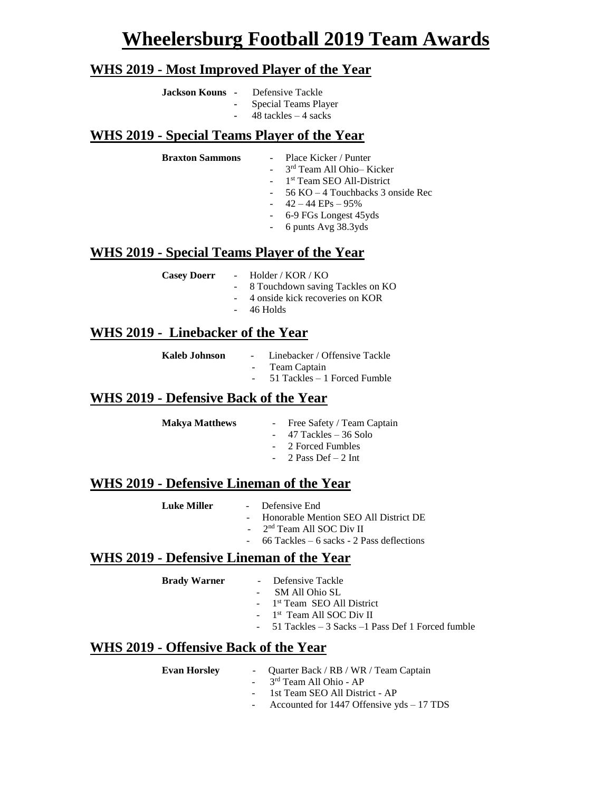# **Wheelersburg Football 2019 Team Awards**

### **WHS 2019 - Most Improved Player of the Year**

| <b>Jackson Kouns</b> - | Defensive Tackle      |
|------------------------|-----------------------|
|                        | Special Teams Player  |
|                        | 48 tackles $-4$ sacks |

### **WHS 2019 - Special Teams Player of the Year**

| Braxton Sammons | - Place Kicker / Punter                 |
|-----------------|-----------------------------------------|
|                 | $-3^{rd}$ Team All Ohio-Kicker          |
|                 | - 1 <sup>st</sup> Team SEO All-District |
|                 | 56 KO $-4$ Touchbacks 3 onside Rec      |
|                 | $-42-44$ EPs $-95\%$                    |
|                 | 6-9 FGs Longest 45yds                   |

- 6 punts Avg 38.3yds

### **WHS 2019 - Special Teams Player of the Year**

- **Casey Doerr**  Holder / KOR / KO
	- 8 Touchdown saving Tackles on KO
	- 4 onside kick recoveries on KOR
	- 46 Holds

### **WHS 2019 - Linebacker of the Year**

| <b>Kaleb Johnson</b> |                  | Linebacker / Offensive Tackle |
|----------------------|------------------|-------------------------------|
|                      |                  | Team Captain                  |
|                      | $\sim$ 10 $\sim$ | 51 Tackles – 1 Forced Fumble  |

### **WHS 2019 - Defensive Back of the Year**

| <b>Makya Matthews</b> | - Free Safety / Team Captain |  |
|-----------------------|------------------------------|--|
|                       | $-47$ Tackles $-36$ Solo     |  |
|                       | - 2 Forced Fumbles           |  |
|                       | $-2$ Pass Def $-2$ Int       |  |

#### **WHS 2019 - Defensive Lineman of the Year**

| Luke Miller | - Defensive End                         |
|-------------|-----------------------------------------|
|             | - Honorable Mention SEO All District DE |
|             | $-2nd$ Team All SOC Div II              |
|             |                                         |

- 66 Tackles – 6 sacks - 2 Pass deflections

## **WHS 2019 - Defensive Lineman of the Year**

**Brady Warner** - Defensive Tackle

- SM All Ohio SL
- 1<sup>st</sup> Team SEO All District
- 1<sup>st</sup> Team All SOC Div II
	- 51 Tackles 3 Sacks –1 Pass Def 1 Forced fumble

#### **WHS 2019 - Offensive Back of the Year**

- **Evan Horsley**  Quarter Back / RB / WR / Team Captain
	- 3 rd Team All Ohio AP
	- 1st Team SEO All District AP
	- Accounted for 1447 Offensive  $vds 17$  TDS